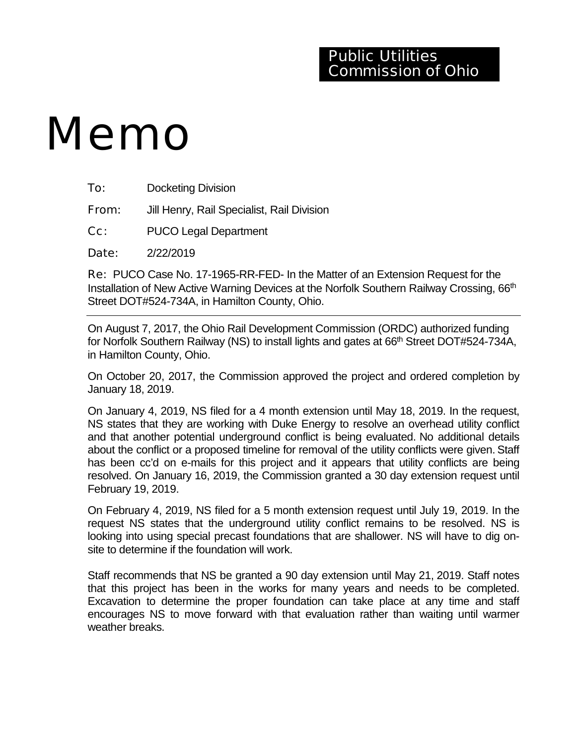# Memo

| To: | <b>Docketing Division</b> |  |
|-----|---------------------------|--|
|     |                           |  |

**From:** Jill Henry, Rail Specialist, Rail Division

Cc: PUCO Legal Department

Date: 2/22/2019

Re: PUCO Case No. 17-1965-RR-FED- In the Matter of an Extension Request for the Installation of New Active Warning Devices at the Norfolk Southern Railway Crossing, 66<sup>th</sup> Street DOT#524-734A, in Hamilton County, Ohio.

On August 7, 2017, the Ohio Rail Development Commission (ORDC) authorized funding for Norfolk Southern Railway (NS) to install lights and gates at 66<sup>th</sup> Street DOT#524-734A, in Hamilton County, Ohio.

On October 20, 2017, the Commission approved the project and ordered completion by January 18, 2019.

On January 4, 2019, NS filed for a 4 month extension until May 18, 2019. In the request, NS states that they are working with Duke Energy to resolve an overhead utility conflict and that another potential underground conflict is being evaluated. No additional details about the conflict or a proposed timeline for removal of the utility conflicts were given. Staff has been cc'd on e-mails for this project and it appears that utility conflicts are being resolved. On January 16, 2019, the Commission granted a 30 day extension request until February 19, 2019.

On February 4, 2019, NS filed for a 5 month extension request until July 19, 2019. In the request NS states that the underground utility conflict remains to be resolved. NS is looking into using special precast foundations that are shallower. NS will have to dig onsite to determine if the foundation will work.

Staff recommends that NS be granted a 90 day extension until May 21, 2019. Staff notes that this project has been in the works for many years and needs to be completed. Excavation to determine the proper foundation can take place at any time and staff encourages NS to move forward with that evaluation rather than waiting until warmer weather breaks.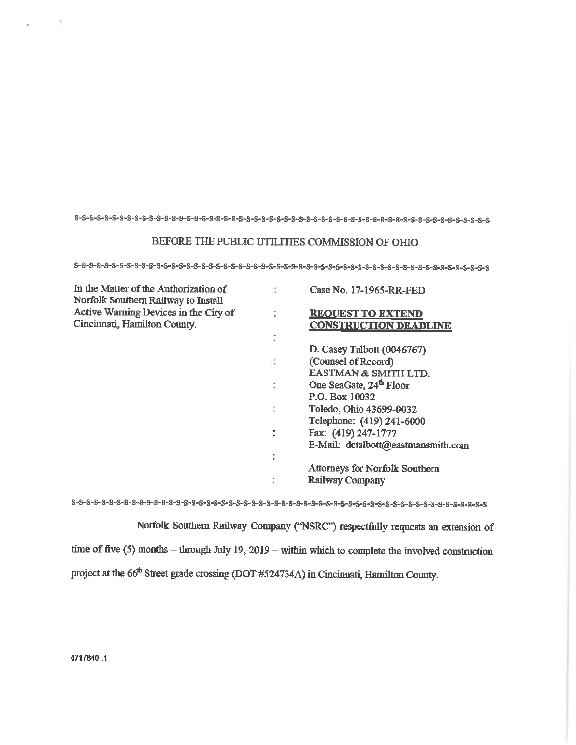## BEFORE THE PUBLIC UTILITIES COMMISSION OF OHIO

| In the Matter of the Authorization of<br>Norfolk Southern Railway to Install |    | Case No. 17-1965-RR-FED               |
|------------------------------------------------------------------------------|----|---------------------------------------|
| Active Warning Devices in the City of                                        |    | <b>REQUEST TO EXTEND</b>              |
| Cincinnati, Hamilton County.                                                 |    | <b>CONSTRUCTION DEADLINE</b>          |
|                                                                              |    |                                       |
|                                                                              |    | D. Casey Talbott (0046767)            |
|                                                                              |    | (Counsel of Record)                   |
|                                                                              |    | EASTMAN & SMITH LTD.                  |
|                                                                              | ÷. | One SeaGate, 24 <sup>th</sup> Floor   |
|                                                                              |    | P.O. Box 10032                        |
|                                                                              | N. | Toledo, Ohio 43699-0032               |
|                                                                              |    | Telephone: (419) 241-6000             |
|                                                                              |    | Fax: (419) 247-1777                   |
|                                                                              |    | E-Mail: dctalbott@eastmansmith.com    |
|                                                                              | ٠  |                                       |
|                                                                              |    | <b>Attorneys for Norfolk Southern</b> |
|                                                                              |    | <b>Railway Company</b>                |

 $s\hbox{-} s\hbox{-} s\hbox{-} s\hbox{-} s\hbox{-} s\hbox{-} s\hbox{-} s\hbox{-} s\hbox{-} s\hbox{-} s\hbox{-} s\hbox{-} s\hbox{-} s\hbox{-} s\hbox{-} s\hbox{-} s\hbox{-} s\hbox{-} s\hbox{-} s\hbox{-} s\hbox{-} s\hbox{-} s\hbox{-} s\hbox{-} s\hbox{-} s\hbox{-} s\hbox{-} s\hbox{-} s\hbox{-} s\hbox{-} s\hbox{-} s\hbox{-} s\hbox{-} s\hbox{-} s\hbox{-} s\hbox{-} s\hbox$ 

Norfolk Southern Railway Company ('NSRC") respectfully requests an extension of time of five  $(5)$  months – through July 19, 2019 – within which to complete the involved construction project at the 66<sup>th</sup> Street grade crossing (DOT #524734A) in Cincinnati, Hamilton County.

×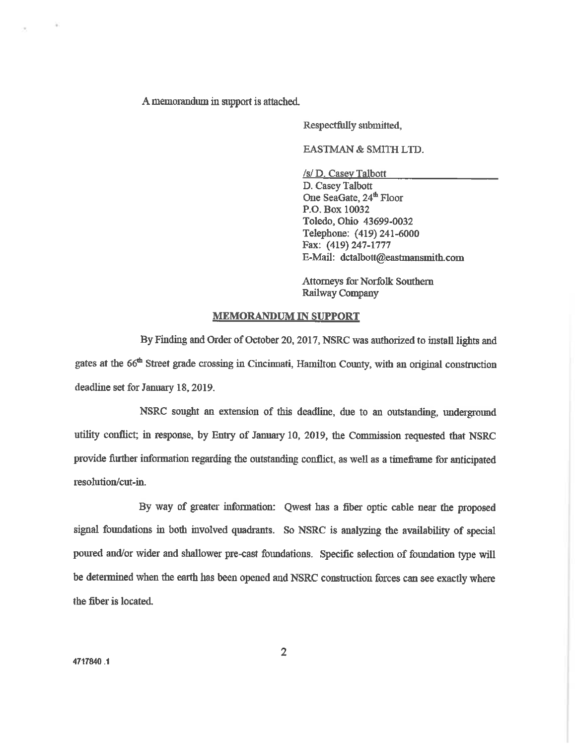A memorandum in support is attached.

Respectfully submitted.

EASTMAN & SMITH LTD.

/s/ D. Casey Talbott D. Casey Talbott One SeaGate, 24<sup>th</sup> Floor P.O. Box 10032 Toledo, Ohio 43699-0032 Telephone: (419) 241-6000 Fax: (419) 247-1777 E-Mail: dctalbott@eastmansmith.com

**Attorneys for Norfolk Southern** Railway Company

## **MEMORANDUM IN SUPPORT**

By Finding and Order of October 20, 2017, NSRC was authorized to install lights and gates at the 66<sup>th</sup> Street grade crossing in Cincinnati, Hamilton County, with an original construction deadline set for January 18, 2019.

NSRC sought an extension of this deadline, due to an outstanding, underground utility conflict; in response, by Entry of January 10, 2019, the Commission requested that NSRC provide further information regarding the outstanding conflict, as well as a timeframe for anticipated resolution/cut-in.

By way of greater information: Qwest has a fiber optic cable near the proposed signal foundations in both involved quadrants. So NSRC is analyzing the availability of special poured and/or wider and shallower pre-cast foundations. Specific selection of foundation type will be determined when the earth has been opened and NSRC construction forces can see exactly where the fiber is located.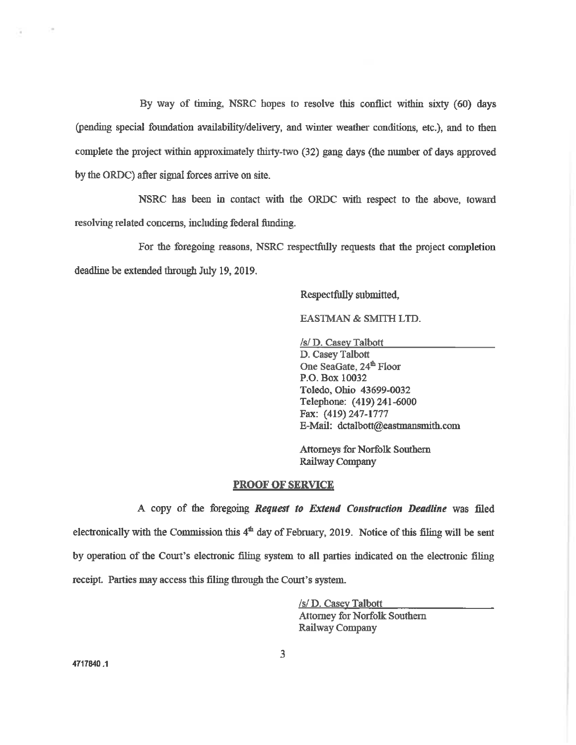By way of timing, NSRC hopes to resolve this conflict within sixty (60) days (pending special foundation availability/delivery, and winter weather conditions, etc.), and to then complete the project within approximately thirty-two (32) gang days (the number of days approved by the ORDC) after signal forces arrive on site.

NSRC has been in contact with the ORDC with respect to the above, toward resolving related concerns, including federal funding.

For the foregoing reasons, NSRC respectfully requests that the project completion deadline be extended through July 19, 2019.

## Respectfully submitted,

### **EASTMAN & SMITH LTD.**

/s/ D. Casey Talbott

D. Casey Talbott One SeaGate, 24<sup>th</sup> Floor P.O. Box 10032 Toledo, Ohio 43699-0032 Telephone: (419) 241-6000 Fax: (419) 247-1777 E-Mail: dctalbott@eastmansmith.com

**Attorneys for Norfolk Southern** Railway Company

#### **PROOF OF SERVICE**

A copy of the foregoing Request to Extend Construction Deadline was filed electronically with the Commission this  $4<sup>th</sup>$  day of February, 2019. Notice of this filing will be sent by operation of the Court's electronic filing system to all parties indicated on the electronic filing receipt. Parties may access this filing through the Court's system.

> /s/ D. Casey Talbott **Attorney for Norfolk Southern Railway Company**

 $\sim$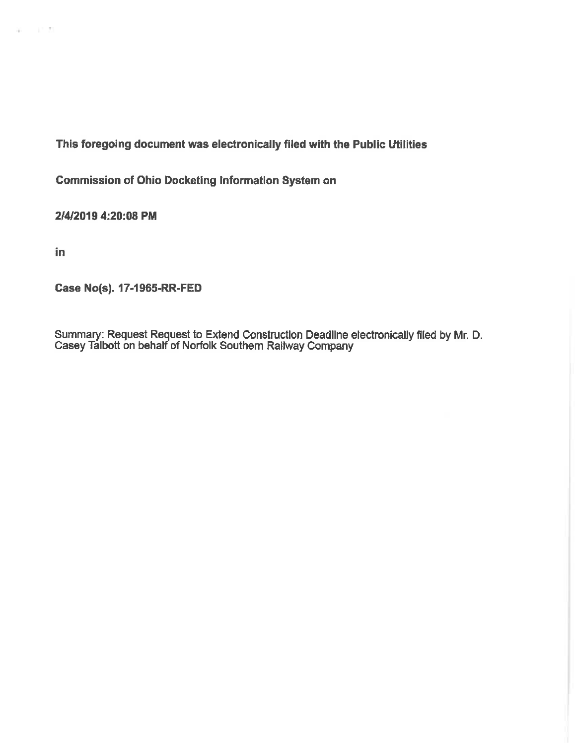This foregoing document was electronically filed with the Public Utilities

**Commission of Ohio Docketing Information System on** 

2/4/2019 4:20:08 PM

in

 $\omega = -i \gamma \, E$ 

**Case No(s). 17-1965-RR-FED** 

Summary: Request Request to Extend Construction Deadline electronically filed by Mr. D. Casey Talbott on behalf of Norfolk Southern Railway Company